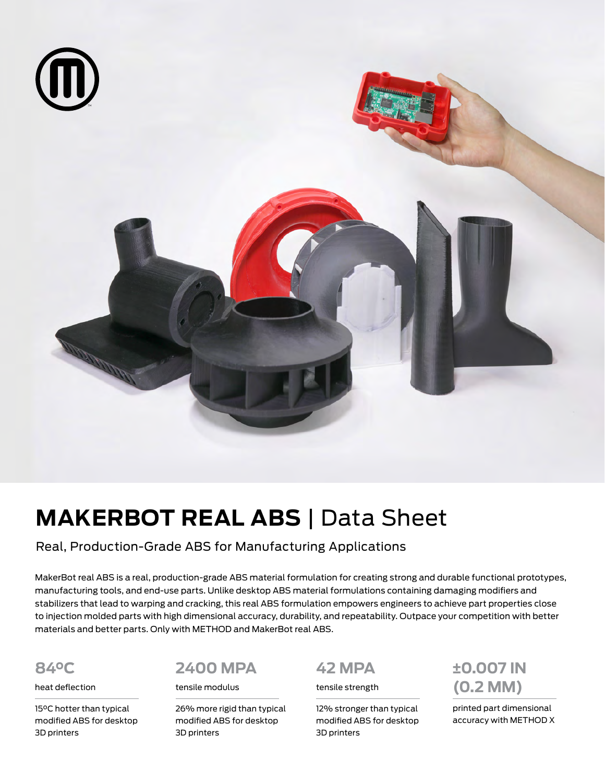

# **MAKERBOT REAL ABS** | Data Sheet

Real, Production-Grade ABS for Manufacturing Applications

MakerBot real ABS is a real, production-grade ABS material formulation for creating strong and durable functional prototypes, manufacturing tools, and end-use parts. Unlike desktop ABS material formulations containing damaging modifiers and stabilizers that lead to warping and cracking, this real ABS formulation empowers engineers to achieve part properties close to injection molded parts with high dimensional accuracy, durability, and repeatability. Outpace your competition with better materials and better parts. Only with METHOD and MakerBot real ABS.

### **84°C**

heat deflection

15°C hotter than typical modified ABS for desktop 3D printers

## **2400 MPA**

tensile modulus

26% more rigid than typical modified ABS for desktop 3D printers

## **42 MPA**

tensile strength

12% stronger than typical modified ABS for desktop 3D printers

**±0.007 IN (0.2 MM)** 

printed part dimensional accuracy with METHOD X